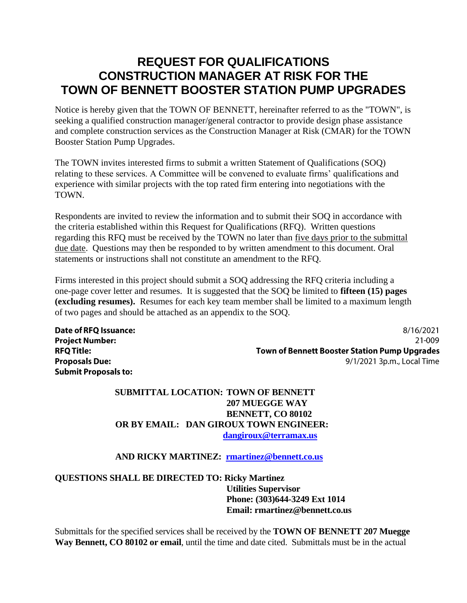# **REQUEST FOR QUALIFICATIONS CONSTRUCTION MANAGER AT RISK FOR THE TOWN OF BENNETT BOOSTER STATION PUMP UPGRADES**

Notice is hereby given that the TOWN OF BENNETT, hereinafter referred to as the "TOWN", is seeking a qualified construction manager/general contractor to provide design phase assistance and complete construction services as the Construction Manager at Risk (CMAR) for the TOWN Booster Station Pump Upgrades.

The TOWN invites interested firms to submit a written Statement of Qualifications (SOQ) relating to these services. A Committee will be convened to evaluate firms' qualifications and experience with similar projects with the top rated firm entering into negotiations with the TOWN.

Respondents are invited to review the information and to submit their SOQ in accordance with the criteria established within this Request for Qualifications (RFQ). Written questions regarding this RFQ must be received by the TOWN no later than five days prior to the submittal due date. Questions may then be responded to by written amendment to this document. Oral statements or instructions shall not constitute an amendment to the RFQ.

Firms interested in this project should submit a SOQ addressing the RFQ criteria including a one-page cover letter and resumes. It is suggested that the SOQ be limited to **fifteen (15) pages (excluding resumes).** Resumes for each key team member shall be limited to a maximum length of two pages and should be attached as an appendix to the SOQ.

**Date of RFQ Issuance: Project Number: RFO Title: Proposals Due: Submit Proposals to:** 

8/16/2021 21-009 **Town of Bennett Booster Station Pump Upgrades** 9/1/2021 3p.m., Local Time

### **SUBMITTAL LOCATION: TOWN OF BENNETT 207 MUEGGE WAY BENNETT, CO 80102 OR BY EMAIL: DAN GIROUX TOWN ENGINEER: [dangiroux@terramax.us](mailto:dangiroux@terramax.us)**

#### **AND RICKY MARTINEZ: [rmartinez@bennett.co.us](mailto:rmartinez@bennett.co.us)**

**QUESTIONS SHALL BE DIRECTED TO: Ricky Martinez Utilities Supervisor Phone: (303)644-3249 Ext 1014 Email: rmartinez@bennett.co.us**

Submittals for the specified services shall be received by the **TOWN OF BENNETT 207 Muegge Way Bennett, CO 80102 or email**, until the time and date cited. Submittals must be in the actual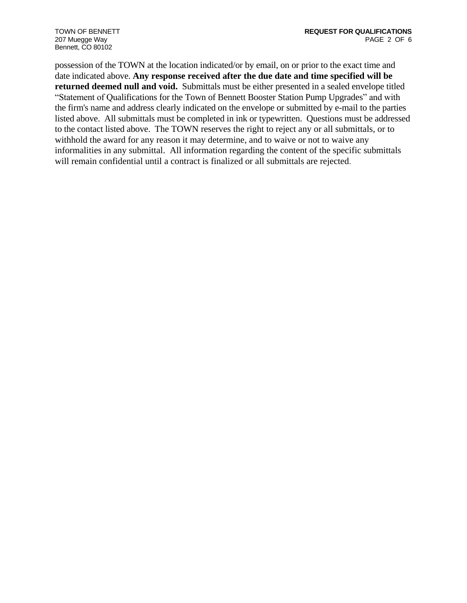207 Muegge Way Bennett, CO 80102

possession of the TOWN at the location indicated/or by email, on or prior to the exact time and date indicated above. **Any response received after the due date and time specified will be returned deemed null and void.** Submittals must be either presented in a sealed envelope titled "Statement of Qualifications for the Town of Bennett Booster Station Pump Upgrades" and with the firm's name and address clearly indicated on the envelope or submitted by e-mail to the parties listed above. All submittals must be completed in ink or typewritten. Questions must be addressed to the contact listed above. The TOWN reserves the right to reject any or all submittals, or to withhold the award for any reason it may determine, and to waive or not to waive any informalities in any submittal. All information regarding the content of the specific submittals will remain confidential until a contract is finalized or all submittals are rejected.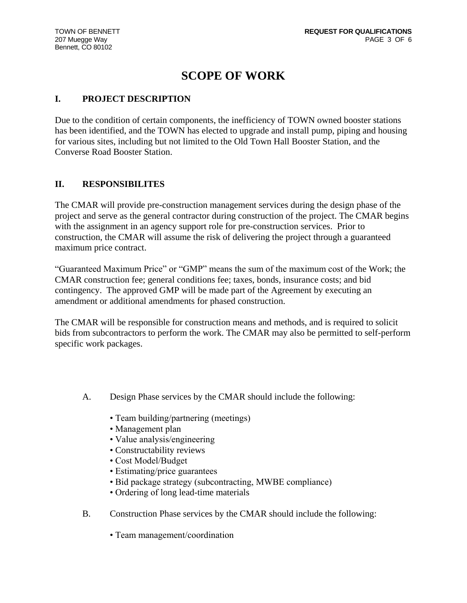# **SCOPE OF WORK**

### **I. PROJECT DESCRIPTION**

Due to the condition of certain components, the inefficiency of TOWN owned booster stations has been identified, and the TOWN has elected to upgrade and install pump, piping and housing for various sites, including but not limited to the Old Town Hall Booster Station, and the Converse Road Booster Station.

#### **II. RESPONSIBILITES**

The CMAR will provide pre-construction management services during the design phase of the project and serve as the general contractor during construction of the project. The CMAR begins with the assignment in an agency support role for pre-construction services. Prior to construction, the CMAR will assume the risk of delivering the project through a guaranteed maximum price contract.

"Guaranteed Maximum Price" or "GMP" means the sum of the maximum cost of the Work; the CMAR construction fee; general conditions fee; taxes, bonds, insurance costs; and bid contingency. The approved GMP will be made part of the Agreement by executing an amendment or additional amendments for phased construction.

The CMAR will be responsible for construction means and methods, and is required to solicit bids from subcontractors to perform the work. The CMAR may also be permitted to self-perform specific work packages.

- A. Design Phase services by the CMAR should include the following:
	- Team building/partnering (meetings)
	- Management plan
	- Value analysis/engineering
	- Constructability reviews
	- Cost Model/Budget
	- Estimating/price guarantees
	- Bid package strategy (subcontracting, MWBE compliance)
	- Ordering of long lead-time materials
- B. Construction Phase services by the CMAR should include the following:
	- Team management/coordination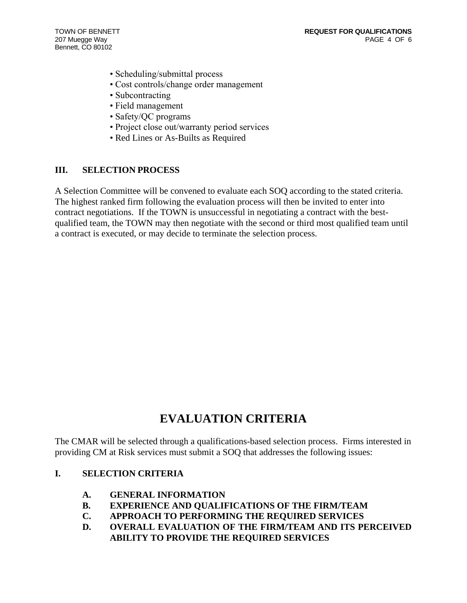207 Muegge Way Bennett, CO 80102

- Scheduling/submittal process
- Cost controls/change order management
- Subcontracting
- Field management
- Safety/QC programs
- Project close out/warranty period services
- Red Lines or As-Builts as Required

#### **III. SELECTION PROCESS**

A Selection Committee will be convened to evaluate each SOQ according to the stated criteria. The highest ranked firm following the evaluation process will then be invited to enter into contract negotiations. If the TOWN is unsuccessful in negotiating a contract with the bestqualified team, the TOWN may then negotiate with the second or third most qualified team until a contract is executed, or may decide to terminate the selection process.

# **EVALUATION CRITERIA**

The CMAR will be selected through a qualifications-based selection process. Firms interested in providing CM at Risk services must submit a SOQ that addresses the following issues:

#### **I. SELECTION CRITERIA**

- **A. GENERAL INFORMATION**
- **B. EXPERIENCE AND QUALIFICATIONS OF THE FIRM/TEAM**
- **C. APPROACH TO PERFORMING THE REQUIRED SERVICES**
- **D. OVERALL EVALUATION OF THE FIRM/TEAM AND ITS PERCEIVED ABILITY TO PROVIDE THE REQUIRED SERVICES**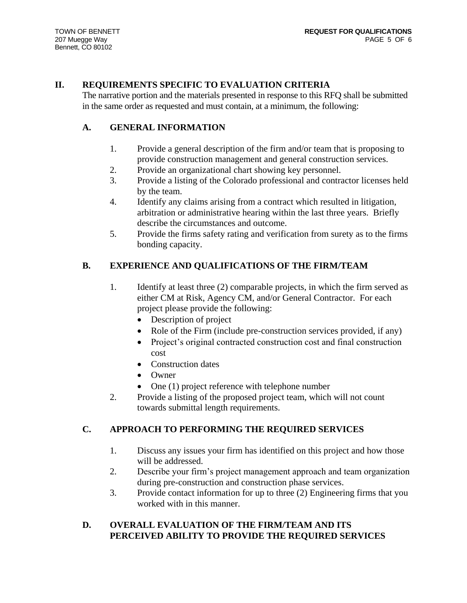### **II. REQUIREMENTS SPECIFIC TO EVALUATION CRITERIA**

The narrative portion and the materials presented in response to this RFQ shall be submitted in the same order as requested and must contain, at a minimum, the following:

### **A. GENERAL INFORMATION**

- 1. Provide a general description of the firm and/or team that is proposing to provide construction management and general construction services.
- 2. Provide an organizational chart showing key personnel.
- 3. Provide a listing of the Colorado professional and contractor licenses held by the team.
- 4. Identify any claims arising from a contract which resulted in litigation, arbitration or administrative hearing within the last three years. Briefly describe the circumstances and outcome.
- 5. Provide the firms safety rating and verification from surety as to the firms bonding capacity.

# **B. EXPERIENCE AND QUALIFICATIONS OF THE FIRM/TEAM**

- 1. Identify at least three (2) comparable projects, in which the firm served as either CM at Risk, Agency CM, and/or General Contractor. For each project please provide the following:
	- Description of project
	- Role of the Firm (include pre-construction services provided, if any)
	- Project's original contracted construction cost and final construction cost
	- Construction dates
	- Owner
	- One (1) project reference with telephone number
- 2. Provide a listing of the proposed project team, which will not count towards submittal length requirements.

# **C. APPROACH TO PERFORMING THE REQUIRED SERVICES**

- 1. Discuss any issues your firm has identified on this project and how those will be addressed.
- 2. Describe your firm's project management approach and team organization during pre-construction and construction phase services.
- 3. Provide contact information for up to three (2) Engineering firms that you worked with in this manner.

## **D. OVERALL EVALUATION OF THE FIRM/TEAM AND ITS PERCEIVED ABILITY TO PROVIDE THE REQUIRED SERVICES**